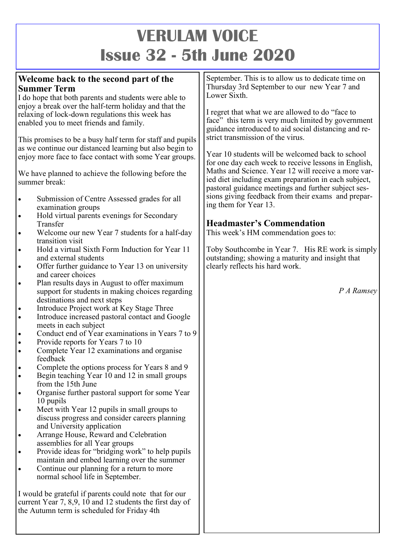# **VERULAM VOICE Issue 32 - 5th June 2020**

### **Welcome back to the second part of the Summer Term**

I do hope that both parents and students were able to enjoy a break over the half-term holiday and that the relaxing of lock-down regulations this week has enabled you to meet friends and family.

This promises to be a busy half term for staff and pupils as we continue our distanced learning but also begin to enjoy more face to face contact with some Year groups.

We have planned to achieve the following before the summer break:

- Submission of Centre Assessed grades for all examination groups
- Hold virtual parents evenings for Secondary Transfer
- Welcome our new Year 7 students for a half-day transition visit
- Hold a virtual Sixth Form Induction for Year 11 and external students
- Offer further guidance to Year 13 on university and career choices
- Plan results days in August to offer maximum support for students in making choices regarding destinations and next steps
- Introduce Project work at Key Stage Three
- Introduce increased pastoral contact and Google meets in each subject
- Conduct end of Year examinations in Years 7 to 9
- Provide reports for Years 7 to 10
- Complete Year 12 examinations and organise feedback
- Complete the options process for Years 8 and 9
- Begin teaching Year  $10$  and  $12$  in small groups from the 15th June
- Organise further pastoral support for some Year 10 pupils
- Meet with Year 12 pupils in small groups to discuss progress and consider careers planning and University application
- Arrange House, Reward and Celebration assemblies for all Year groups
- Provide ideas for "bridging work" to help pupils maintain and embed learning over the summer
- Continue our planning for a return to more normal school life in September.

I would be grateful if parents could note that for our current Year 7, 8,9, 10 and 12 students the first day of the Autumn term is scheduled for Friday 4th

September. This is to allow us to dedicate time on Thursday 3rd September to our new Year 7 and Lower Sixth.

I regret that what we are allowed to do "face to face" this term is very much limited by government guidance introduced to aid social distancing and restrict transmission of the virus.

Year 10 students will be welcomed back to school for one day each week to receive lessons in English, Maths and Science. Year 12 will receive a more varied diet including exam preparation in each subject, pastoral guidance meetings and further subject sessions giving feedback from their exams and preparing them for Year 13.

## **Headmaster's Commendation**

This week's HM commendation goes to:

Toby Southcombe in Year 7. His RE work is simply outstanding; showing a maturity and insight that clearly reflects his hard work.

*P A Ramsey*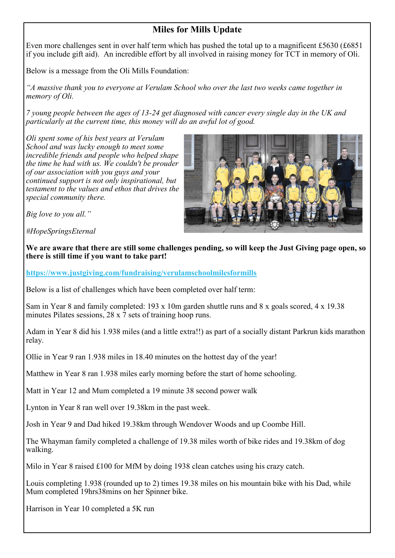## **Miles for Mills Update**

Even more challenges sent in over half term which has pushed the total up to a magnificent £5630 (£6851) if you include gift aid). An incredible effort by all involved in raising money for TCT in memory of Oli.

Below is a message from the Oli Mills Foundation:

*"A massive thank you to everyone at Verulam School who over the last two weeks came together in memory of Oli.*

*7 young people between the ages of 13-24 get diagnosed with cancer every single day in the UK and particularly at the current time, this money will do an awful lot of good.*

*Oli spent some of his best years at Verulam School and was lucky enough to meet some incredible friends and people who helped shape the time he had with us. We couldn't be prouder of our association with you guys and your continued support is not only inspirational, but testament to the values and ethos that drives the special community there.*



*Big love to you all."*

*#HopeSpringsEternal*

**We are aware that there are still some challenges pending, so will keep the Just Giving page open, so there is still time if you want to take part!**

**<https://www.justgiving.com/fundraising/verulamschoolmilesformills>**

Below is a list of challenges which have been completed over half term:

Sam in Year 8 and family completed: 193 x 10m garden shuttle runs and 8 x goals scored, 4 x 19.38 minutes Pilates sessions, 28 x 7 sets of training hoop runs.

Adam in Year 8 did his 1.938 miles (and a little extra!!) as part of a socially distant Parkrun kids marathon relay.

Ollie in Year 9 ran 1.938 miles in 18.40 minutes on the hottest day of the year!

Matthew in Year 8 ran 1.938 miles early morning before the start of home schooling.

Matt in Year 12 and Mum completed a 19 minute 38 second power walk

Lynton in Year 8 ran well over 19.38km in the past week.

Josh in Year 9 and Dad hiked 19.38km through Wendover Woods and up Coombe Hill.

The Whayman family completed a challenge of 19.38 miles worth of bike rides and 19.38km of dog walking.

Milo in Year 8 raised £100 for MfM by doing 1938 clean catches using his crazy catch.

Louis completing 1.938 (rounded up to 2) times 19.38 miles on his mountain bike with his Dad, while Mum completed 19hrs38mins on her Spinner bike.

Harrison in Year 10 completed a 5K run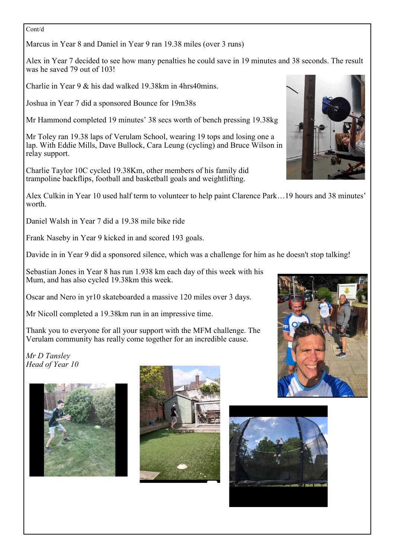Cont/d

Marcus in Year 8 and Daniel in Year 9 ran 19.38 miles (over 3 runs)

Alex in Year 7 decided to see how many penalties he could save in 19 minutes and 38 seconds. The result was he saved 79 out of 103!

Charlie in Year 9 & his dad walked 19.38km in 4hrs40mins.

Joshua in Year 7 did a sponsored Bounce for 19m38s

Mr Hammond completed 19 minutes' 38 secs worth of bench pressing 19.38kg

Mr Toley ran 19.38 laps of Verulam School, wearing 19 tops and losing one a lap. With Eddie Mills, Dave Bullock, Cara Leung (cycling) and Bruce Wilson in relay support.

Charlie Taylor 10C cycled 19.38Km, other members of his family did trampoline backflips, football and basketball goals and weightlifting.

Alex Culkin in Year 10 used half term to volunteer to help paint Clarence Park…19 hours and 38 minutes' worth.

Daniel Walsh in Year 7 did a 19.38 mile bike ride

Frank Naseby in Year 9 kicked in and scored 193 goals.

Davide in in Year 9 did a sponsored silence, which was a challenge for him as he doesn't stop talking!

Sebastian Jones in Year 8 has run 1.938 km each day of this week with his Mum, and has also cycled 19.38km this week.

Oscar and Nero in yr10 skateboarded a massive 120 miles over 3 days.

Mr Nicoll completed a 19.38km run in an impressive time.

Thank you to everyone for all your support with the MFM challenge. The Verulam community has really come together for an incredible cause.

*Mr D Tansley Head of Year 10*